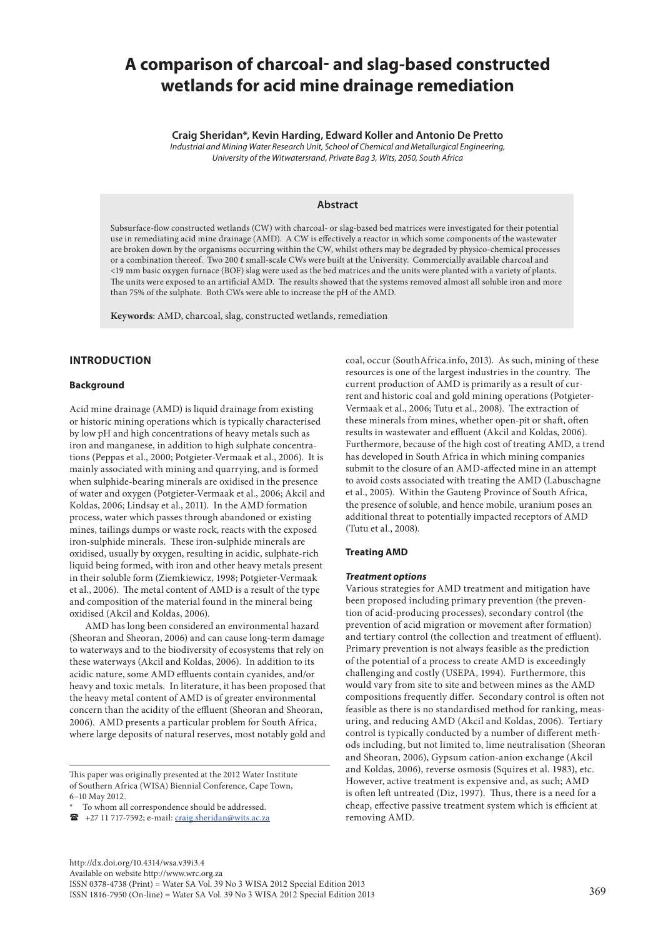# **A comparison of charcoal- and slag-based constructed wetlands for acid mine drainage remediation**

**Craig Sheridan\*, Kevin Harding, Edward Koller and Antonio De Pretto**

*Industrial and Mining Water Research Unit, School of Chemical and Metallurgical Engineering, University of the Witwatersrand, Private Bag 3, Wits, 2050, South Africa*

# **Abstract**

Subsurface-flow constructed wetlands (CW) with charcoal- or slag-based bed matrices were investigated for their potential use in remediating acid mine drainage (AMD). A CW is effectively a reactor in which some components of the wastewater are broken down by the organisms occurring within the CW, whilst others may be degraded by physico-chemical processes or a combination thereof. Two 200 ℓ small-scale CWs were built at the University. Commercially available charcoal and <19 mm basic oxygen furnace (BOF) slag were used as the bed matrices and the units were planted with a variety of plants. The units were exposed to an artificial AMD. The results showed that the systems removed almost all soluble iron and more than 75% of the sulphate. Both CWs were able to increase the pH of the AMD.

**Keywords**: AMD, charcoal, slag, constructed wetlands, remediation

# **INTRODUCTION**

#### **Background**

Acid mine drainage (AMD) is liquid drainage from existing or historic mining operations which is typically characterised by low pH and high concentrations of heavy metals such as iron and manganese, in addition to high sulphate concentrations (Peppas et al., 2000; Potgieter-Vermaak et al., 2006). It is mainly associated with mining and quarrying, and is formed when sulphide-bearing minerals are oxidised in the presence of water and oxygen (Potgieter-Vermaak et al., 2006; Akcil and Koldas, 2006; Lindsay et al., 2011). In the AMD formation process, water which passes through abandoned or existing mines, tailings dumps or waste rock, reacts with the exposed iron-sulphide minerals. These iron-sulphide minerals are oxidised, usually by oxygen, resulting in acidic, sulphate-rich liquid being formed, with iron and other heavy metals present in their soluble form (Ziemkiewicz, 1998; Potgieter-Vermaak et al., 2006). The metal content of AMD is a result of the type and composition of the material found in the mineral being oxidised (Akcil and Koldas, 2006).

AMD has long been considered an environmental hazard (Sheoran and Sheoran, 2006) and can cause long-term damage to waterways and to the biodiversity of ecosystems that rely on these waterways (Akcil and Koldas, 2006). In addition to its acidic nature, some AMD effluents contain cyanides, and/or heavy and toxic metals. In literature, it has been proposed that the heavy metal content of AMD is of greater environmental concern than the acidity of the effluent (Sheoran and Sheoran, 2006). AMD presents a particular problem for South Africa, where large deposits of natural reserves, most notably gold and

This paper was originally presented at the 2012 Water Institute of Southern Africa (WISA) Biennial Conference, Cape Town, 6–10 May 2012.

+27 11 717-7592; e-mail: [craig.sheridan@wits.ac.za](mailto:craig.sheridan@wits.ac.za)

coal, occur (SouthAfrica.info, 2013). As such, mining of these resources is one of the largest industries in the country. The current production of AMD is primarily as a result of current and historic coal and gold mining operations (Potgieter-Vermaak et al., 2006; Tutu et al., 2008). The extraction of these minerals from mines, whether open-pit or shaft, often results in wastewater and effluent (Akcil and Koldas, 2006). Furthermore, because of the high cost of treating AMD, a trend has developed in South Africa in which mining companies submit to the closure of an AMD-affected mine in an attempt to avoid costs associated with treating the AMD (Labuschagne et al., 2005). Within the Gauteng Province of South Africa, the presence of soluble, and hence mobile, uranium poses an additional threat to potentially impacted receptors of AMD (Tutu et al., 2008).

#### **Treating AMD**

#### *Treatment options*

Various strategies for AMD treatment and mitigation have been proposed including primary prevention (the prevention of acid-producing processes), secondary control (the prevention of acid migration or movement after formation) and tertiary control (the collection and treatment of effluent). Primary prevention is not always feasible as the prediction of the potential of a process to create AMD is exceedingly challenging and costly (USEPA, 1994). Furthermore, this would vary from site to site and between mines as the AMD compositions frequently differ. Secondary control is often not feasible as there is no standardised method for ranking, measuring, and reducing AMD (Akcil and Koldas, 2006). Tertiary control is typically conducted by a number of different methods including, but not limited to, lime neutralisation (Sheoran and Sheoran, 2006), Gypsum cation-anion exchange (Akcil and Koldas, 2006), reverse osmosis (Squires et al. 1983), etc. However, active treatment is expensive and, as such; AMD is often left untreated (Diz, 1997). Thus, there is a need for a cheap, effective passive treatment system which is efficient at removing AMD.

To whom all correspondence should be addressed.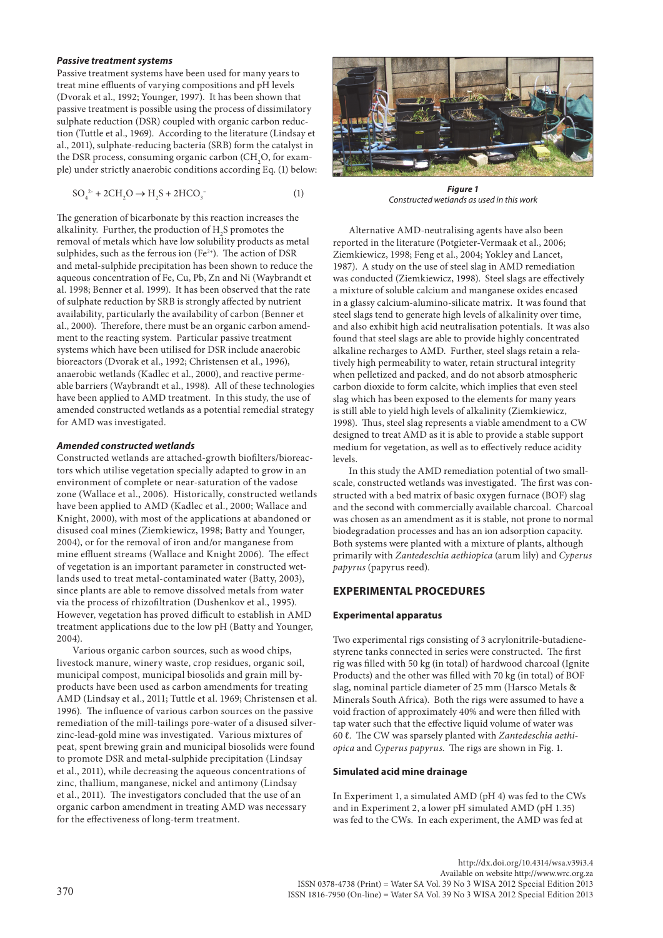#### *Passive treatment systems*

Passive treatment systems have been used for many years to treat mine effluents of varying compositions and pH levels (Dvorak et al., 1992; Younger, 1997). It has been shown that passive treatment is possible using the process of dissimilatory sulphate reduction (DSR) coupled with organic carbon reduction (Tuttle et al., 1969). According to the literature (Lindsay et al., 2011), sulphate-reducing bacteria (SRB) form the catalyst in the DSR process, consuming organic carbon (CH<sub>2</sub>O, for example) under strictly anaerobic conditions according Eq. (1) below:

$$
SO_4^{2-} + 2CH_2O \to H_2S + 2HCO_3^-
$$
 (1)

The generation of bicarbonate by this reaction increases the alkalinity. Further, the production of  $\mathrm{H}_2\mathrm{S}$  promotes the removal of metals which have low solubility products as metal sulphides, such as the ferrous ion  $(Fe^{2+})$ . The action of DSR and metal-sulphide precipitation has been shown to reduce the aqueous concentration of Fe, Cu, Pb, Zn and Ni (Waybrandt et al. 1998; Benner et al. 1999). It has been observed that the rate of sulphate reduction by SRB is strongly affected by nutrient availability, particularly the availability of carbon (Benner et al., 2000). Therefore, there must be an organic carbon amendment to the reacting system. Particular passive treatment systems which have been utilised for DSR include anaerobic bioreactors (Dvorak et al., 1992; Christensen et al., 1996), anaerobic wetlands (Kadlec et al., 2000), and reactive permeable barriers (Waybrandt et al., 1998). All of these technologies have been applied to AMD treatment. In this study, the use of amended constructed wetlands as a potential remedial strategy for AMD was investigated.

#### *Amended constructed wetlands*

Constructed wetlands are attached-growth biofilters/bioreactors which utilise vegetation specially adapted to grow in an environment of complete or near-saturation of the vadose zone (Wallace et al., 2006). Historically, constructed wetlands have been applied to AMD (Kadlec et al., 2000; Wallace and Knight, 2000), with most of the applications at abandoned or disused coal mines (Ziemkiewicz, 1998; Batty and Younger, 2004), or for the removal of iron and/or manganese from mine effluent streams (Wallace and Knight 2006). The effect of vegetation is an important parameter in constructed wetlands used to treat metal-contaminated water (Batty, 2003), since plants are able to remove dissolved metals from water via the process of rhizofiltration (Dushenkov et al., 1995). However, vegetation has proved difficult to establish in AMD treatment applications due to the low pH (Batty and Younger, 2004).

Various organic carbon sources, such as wood chips, livestock manure, winery waste, crop residues, organic soil, municipal compost, municipal biosolids and grain mill byproducts have been used as carbon amendments for treating AMD (Lindsay et al., 2011; Tuttle et al. 1969; Christensen et al. 1996). The influence of various carbon sources on the passive remediation of the mill-tailings pore-water of a disused silverzinc-lead-gold mine was investigated. Various mixtures of peat, spent brewing grain and municipal biosolids were found to promote DSR and metal-sulphide precipitation (Lindsay et al., 2011), while decreasing the aqueous concentrations of zinc, thallium, manganese, nickel and antimony (Lindsay et al., 2011). The investigators concluded that the use of an organic carbon amendment in treating AMD was necessary for the effectiveness of long-term treatment.



*Figure 1 Constructed wetlands as used in this work*

Alternative AMD-neutralising agents have also been reported in the literature (Potgieter-Vermaak et al., 2006; Ziemkiewicz, 1998; Feng et al., 2004; Yokley and Lancet, 1987). A study on the use of steel slag in AMD remediation was conducted (Ziemkiewicz, 1998). Steel slags are effectively a mixture of soluble calcium and manganese oxides encased in a glassy calcium-alumino-silicate matrix. It was found that steel slags tend to generate high levels of alkalinity over time, and also exhibit high acid neutralisation potentials. It was also found that steel slags are able to provide highly concentrated alkaline recharges to AMD. Further, steel slags retain a relatively high permeability to water, retain structural integrity when pelletized and packed, and do not absorb atmospheric carbon dioxide to form calcite, which implies that even steel slag which has been exposed to the elements for many years is still able to yield high levels of alkalinity (Ziemkiewicz, 1998). Thus, steel slag represents a viable amendment to a CW designed to treat AMD as it is able to provide a stable support medium for vegetation, as well as to effectively reduce acidity levels.

In this study the AMD remediation potential of two smallscale, constructed wetlands was investigated. The first was constructed with a bed matrix of basic oxygen furnace (BOF) slag and the second with commercially available charcoal. Charcoal was chosen as an amendment as it is stable, not prone to normal biodegradation processes and has an ion adsorption capacity. Both systems were planted with a mixture of plants, although primarily with *Zantedeschia aethiopica* (arum lily) and *Cyperus papyrus* (papyrus reed)*.*

## **EXPERIMENTAL PROCEDURES**

### **Experimental apparatus**

Two experimental rigs consisting of 3 acrylonitrile-butadienestyrene tanks connected in series were constructed. The first rig was filled with 50 kg (in total) of hardwood charcoal (Ignite Products) and the other was filled with 70 kg (in total) of BOF slag, nominal particle diameter of 25 mm (Harsco Metals & Minerals South Africa). Both the rigs were assumed to have a void fraction of approximately 40% and were then filled with tap water such that the effective liquid volume of water was 60 ℓ. The CW was sparsely planted with *Zantedeschia aethiopica* and *Cyperus papyrus*. The rigs are shown in Fig. 1.

### **Simulated acid mine drainage**

In Experiment 1, a simulated AMD (pH 4) was fed to the CWs and in Experiment 2, a lower pH simulated AMD (pH 1.35) was fed to the CWs. In each experiment, the AMD was fed at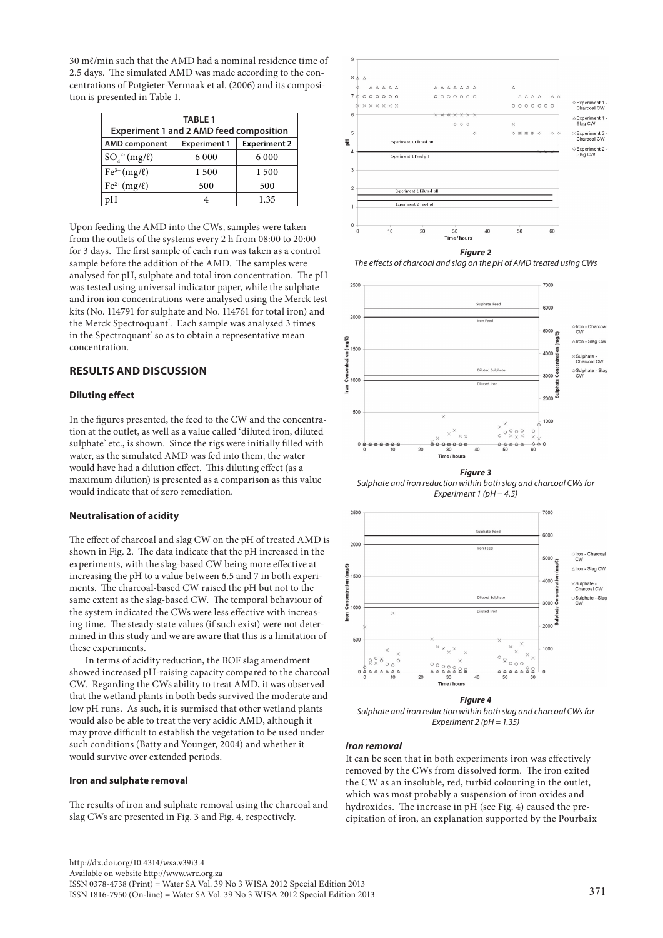30 mℓ/min such that the AMD had a nominal residence time of 2.5 days. The simulated AMD was made according to the concentrations of Potgieter-Vermaak et al. (2006) and its composition is presented in Table 1.

| <b>TABLE 1</b><br><b>Experiment 1 and 2 AMD feed composition</b> |                     |                     |
|------------------------------------------------------------------|---------------------|---------------------|
| <b>AMD</b> component                                             | <b>Experiment 1</b> | <b>Experiment 2</b> |
| $SO_{4}^{2}$ (mg/ $\ell$ )                                       | 6 0 0 0             | 6 0 0 0             |
| $Fe3+ (mg/l)$                                                    | 1 500               | 1 500               |
| $Fe^{2+} (mg/\ell)$                                              | 500                 | 500                 |
| pН                                                               | 4                   | 1.35                |

Upon feeding the AMD into the CWs, samples were taken from the outlets of the systems every 2 h from 08:00 to 20:00 for 3 days. The first sample of each run was taken as a control sample before the addition of the AMD. The samples were analysed for pH, sulphate and total iron concentration. The pH was tested using universal indicator paper, while the sulphate and iron ion concentrations were analysed using the Merck test kits (No. 114791 for sulphate and No. 114761 for total iron) and the Merck Spectroquant<sup>\*</sup>. Each sample was analysed 3 times in the Spectroquant' so as to obtain a representative mean concentration.

# **RESULTS AND DISCUSSION**

### **Diluting effect**

In the figures presented, the feed to the CW and the concentration at the outlet, as well as a value called 'diluted iron, diluted sulphate' etc., is shown. Since the rigs were initially filled with water, as the simulated AMD was fed into them, the water would have had a dilution effect. This diluting effect (as a maximum dilution) is presented as a comparison as this value would indicate that of zero remediation.

### **Neutralisation of acidity**

The effect of charcoal and slag CW on the pH of treated AMD is shown in Fig. 2. The data indicate that the pH increased in the experiments, with the slag-based CW being more effective at increasing the pH to a value between 6.5 and 7 in both experiments. The charcoal-based CW raised the pH but not to the same extent as the slag-based CW. The temporal behaviour of the system indicated the CWs were less effective with increasing time. The steady-state values (if such exist) were not determined in this study and we are aware that this is a limitation of these experiments.

In terms of acidity reduction, the BOF slag amendment showed increased pH-raising capacity compared to the charcoal CW. Regarding the CWs ability to treat AMD, it was observed that the wetland plants in both beds survived the moderate and low pH runs. As such, it is surmised that other wetland plants would also be able to treat the very acidic AMD, although it may prove difficult to establish the vegetation to be used under such conditions (Batty and Younger, 2004) and whether it would survive over extended periods.

#### **Iron and sulphate removal**

The results of iron and sulphate removal using the charcoal and slag CWs are presented in Fig. 3 and Fig. 4, respectively.



*The effects of charcoal and slag on the pH of AMD treated using CWs*



*Figure 3 Sulphate and iron reduction within both slag and charcoal CWs for Experiment 1 (pH = 4.5)*



*Sulphate and iron reduction within both slag and charcoal CWs for Experiment 2 (pH = 1.35)*

#### *Iron removal*

It can be seen that in both experiments iron was effectively removed by the CWs from dissolved form. The iron exited the CW as an insoluble, red, turbid colouring in the outlet, which was most probably a suspension of iron oxides and hydroxides. The increase in pH (see Fig. 4) caused the precipitation of iron, an explanation supported by the Pourbaix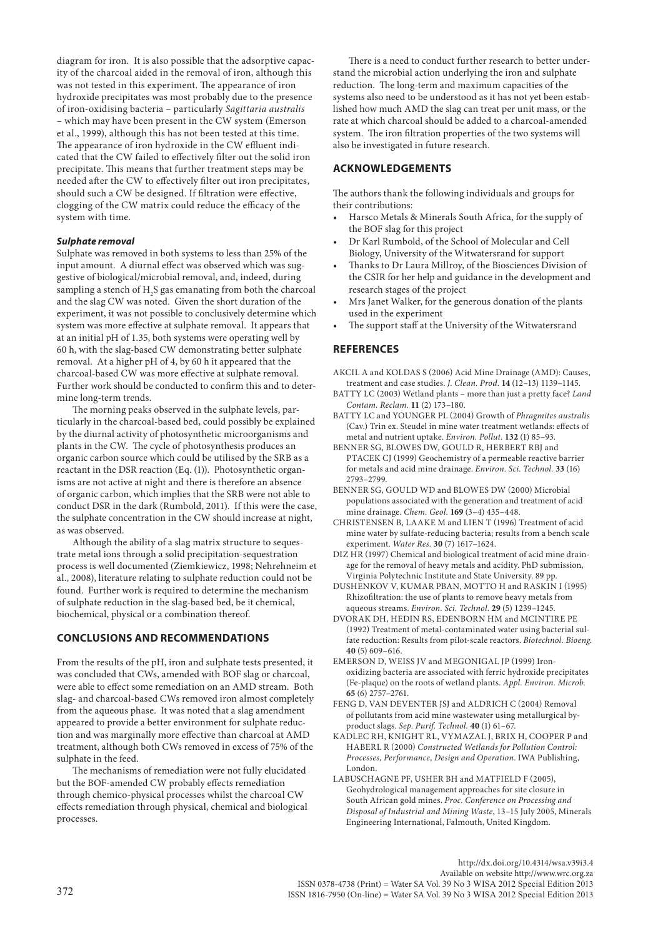diagram for iron. It is also possible that the adsorptive capacity of the charcoal aided in the removal of iron, although this was not tested in this experiment. The appearance of iron hydroxide precipitates was most probably due to the presence of iron-oxidising bacteria – particularly *Sagittaria australis*  – which may have been present in the CW system (Emerson et al., 1999), although this has not been tested at this time. The appearance of iron hydroxide in the CW effluent indicated that the CW failed to effectively filter out the solid iron precipitate. This means that further treatment steps may be needed after the CW to effectively filter out iron precipitates, should such a CW be designed. If filtration were effective, clogging of the CW matrix could reduce the efficacy of the system with time.

### *Sulphate removal*

Sulphate was removed in both systems to less than 25% of the input amount. A diurnal effect was observed which was suggestive of biological/microbial removal, and, indeed, during sampling a stench of  $\rm H_2S$  gas emanating from both the charcoal and the slag CW was noted. Given the short duration of the experiment, it was not possible to conclusively determine which system was more effective at sulphate removal. It appears that at an initial pH of 1.35, both systems were operating well by 60 h, with the slag-based CW demonstrating better sulphate removal. At a higher pH of 4, by 60 h it appeared that the charcoal-based CW was more effective at sulphate removal. Further work should be conducted to confirm this and to determine long-term trends.

The morning peaks observed in the sulphate levels, particularly in the charcoal-based bed, could possibly be explained by the diurnal activity of photosynthetic microorganisms and plants in the CW. The cycle of photosynthesis produces an organic carbon source which could be utilised by the SRB as a reactant in the DSR reaction (Eq. (1)). Photosynthetic organisms are not active at night and there is therefore an absence of organic carbon, which implies that the SRB were not able to conduct DSR in the dark (Rumbold, 2011). If this were the case, the sulphate concentration in the CW should increase at night, as was observed.

Although the ability of a slag matrix structure to sequestrate metal ions through a solid precipitation-sequestration process is well documented (Ziemkiewicz, 1998; Nehrehneim et al., 2008), literature relating to sulphate reduction could not be found. Further work is required to determine the mechanism of sulphate reduction in the slag-based bed, be it chemical, biochemical, physical or a combination thereof.

### **CONCLUSIONS AND RECOMMENDATIONS**

From the results of the pH, iron and sulphate tests presented, it was concluded that CWs, amended with BOF slag or charcoal, were able to effect some remediation on an AMD stream. Both slag- and charcoal-based CWs removed iron almost completely from the aqueous phase. It was noted that a slag amendment appeared to provide a better environment for sulphate reduction and was marginally more effective than charcoal at AMD treatment, although both CWs removed in excess of 75% of the sulphate in the feed.

The mechanisms of remediation were not fully elucidated but the BOF-amended CW probably effects remediation through chemico-physical processes whilst the charcoal CW effects remediation through physical, chemical and biological processes.

There is a need to conduct further research to better understand the microbial action underlying the iron and sulphate reduction. The long-term and maximum capacities of the systems also need to be understood as it has not yet been established how much AMD the slag can treat per unit mass, or the rate at which charcoal should be added to a charcoal-amended system. The iron filtration properties of the two systems will also be investigated in future research.

# **ACKNOWLEDGEMENTS**

The authors thank the following individuals and groups for their contributions:

- Harsco Metals & Minerals South Africa, for the supply of the BOF slag for this project
- Dr Karl Rumbold, of the School of Molecular and Cell Biology, University of the Witwatersrand for support
- Thanks to Dr Laura Millroy, of the Biosciences Division of the CSIR for her help and guidance in the development and research stages of the project
- Mrs Janet Walker, for the generous donation of the plants used in the experiment
- The support staff at the University of the Witwatersrand

### **REFERENCES**

- AKCIL A and KOLDAS S (2006) Acid Mine Drainage (AMD): Causes, treatment and case studies. *J. Clean. Prod.* **14** (12–13) 1139–1145.
- BATTY LC (2003) Wetland plants more than just a pretty face? *Land Contam. Reclam.* **11** (2) 173–180.
- BATTY LC and YOUNGER PL (2004) Growth of *Phragmites australis* (Cav.) Trin ex. Steudel in mine water treatment wetlands: effects of metal and nutrient uptake. *Environ. Pollut.* **132** (1) 85–93.

BENNER SG, BLOWES DW, GOULD R, HERBERT RBJ and PTACEK CJ (1999) Geochemistry of a permeable reactive barrier for metals and acid mine drainage. *Environ. Sci. Technol.* **33** (16) 2793–2799.

- BENNER SG, GOULD WD and BLOWES DW (2000) Microbial populations associated with the generation and treatment of acid mine drainage. *Chem. Geol.* **169** (3–4) 435–448.
- CHRISTENSEN B, LAAKE M and LIEN T (1996) Treatment of acid mine water by sulfate-reducing bacteria; results from a bench scale experiment. *Water Res.* **30** (7) 1617–1624.
- DIZ HR (1997) Chemical and biological treatment of acid mine drainage for the removal of heavy metals and acidity. PhD submission, Virginia Polytechnic Institute and State University. 89 pp.
- DUSHENKOV V, KUMAR PBAN, MOTTO H and RASKIN I (1995) Rhizofiltration: the use of plants to remove heavy metals from aqueous streams. *Environ. Sci. Technol.* **29** (5) 1239–1245.
- DVORAK DH, HEDIN RS, EDENBORN HM and MCINTIRE PE (1992) Treatment of metal-contaminated water using bacterial sulfate reduction: Results from pilot-scale reactors. *Biotechnol. Bioeng.* **40** (5) 609–616.
- EMERSON D, WEISS JV and MEGONIGAL JP (1999) Ironoxidizing bacteria are associated with ferric hydroxide precipitates (Fe-plaque) on the roots of wetland plants. *Appl. Environ. Microb.* **65** (6) 2757–2761.
- FENG D, VAN DEVENTER JSJ and ALDRICH C (2004) Removal of pollutants from acid mine wastewater using metallurgical byproduct slags. *Sep. Purif. Technol.* **40** (1) 61–67.
- KADLEC RH, KNIGHT RL, VYMAZAL J, BRIX H, COOPER P and HABERL R (2000) *Constructed Wetlands for Pollution Control: Processes, Performance, Design and Operation*. IWA Publishing, London.
- LABUSCHAGNE PF, USHER BH and MATFIELD F (2005), Geohydrological management approaches for site closure in South African gold mines. *Proc. Conference on Processing and Disposal of Industrial and Mining Waste*, 13–15 July 2005, Minerals Engineering International, Falmouth, United Kingdom.